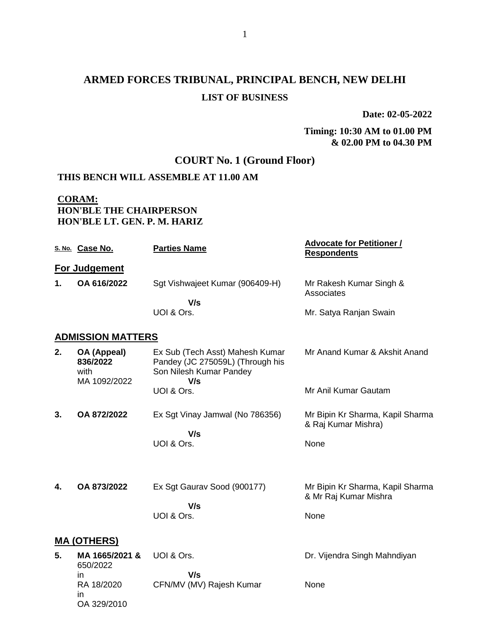# **ARMED FORCES TRIBUNAL, PRINCIPAL BENCH, NEW DELHI LIST OF BUSINESS**

**Date: 02-05-2022**

#### **Timing: 10:30 AM to 01.00 PM & 02.00 PM to 04.30 PM**

## **COURT No. 1 (Ground Floor)**

### **THIS BENCH WILL ASSEMBLE AT 11.00 AM**

### **CORAM: HON'BLE THE CHAIRPERSON HON'BLE LT. GEN. P. M. HARIZ**

|    | S. No. Case No.                                 | <b>Parties Name</b>                                                                                   | <b>Advocate for Petitioner /</b><br><b>Respondents</b>    |
|----|-------------------------------------------------|-------------------------------------------------------------------------------------------------------|-----------------------------------------------------------|
|    | For Judgement                                   |                                                                                                       |                                                           |
| 1. | OA 616/2022                                     | Sgt Vishwajeet Kumar (906409-H)                                                                       | Mr Rakesh Kumar Singh &<br>Associates                     |
|    |                                                 | V/s<br>UOI & Ors.                                                                                     | Mr. Satya Ranjan Swain                                    |
|    | <b>ADMISSION MATTERS</b>                        |                                                                                                       |                                                           |
| 2. | OA (Appeal)<br>836/2022<br>with<br>MA 1092/2022 | Ex Sub (Tech Asst) Mahesh Kumar<br>Pandey (JC 275059L) (Through his<br>Son Nilesh Kumar Pandey<br>V/s | Mr Anand Kumar & Akshit Anand                             |
|    |                                                 | UOI & Ors.                                                                                            | Mr Anil Kumar Gautam                                      |
| 3. | OA 872/2022                                     | Ex Sgt Vinay Jamwal (No 786356)<br>V/s                                                                | Mr Bipin Kr Sharma, Kapil Sharma<br>& Raj Kumar Mishra)   |
|    |                                                 | UOI & Ors.                                                                                            | None                                                      |
| 4. | OA 873/2022                                     | Ex Sgt Gaurav Sood (900177)                                                                           | Mr Bipin Kr Sharma, Kapil Sharma<br>& Mr Raj Kumar Mishra |
|    |                                                 | V/s<br>UOI & Ors.                                                                                     | None                                                      |
|    | <b>MA (OTHERS)</b>                              |                                                                                                       |                                                           |
| 5. | MA 1665/2021 &<br>650/2022                      | UOI & Ors.<br>V/s                                                                                     | Dr. Vijendra Singh Mahndiyan                              |
|    | in.<br>RA 18/2020<br>in.<br>OA 329/2010         | CFN/MV (MV) Rajesh Kumar                                                                              | None                                                      |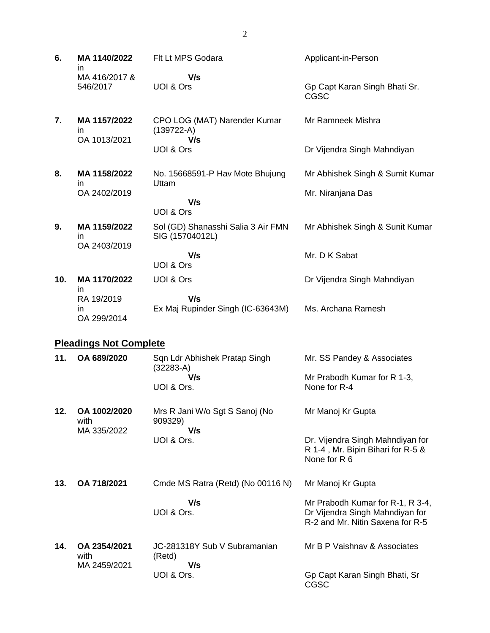| 6.  | MA 1140/2022<br>in                  | Flt Lt MPS Godara                                     | Applicant-in-Person                                                                   |
|-----|-------------------------------------|-------------------------------------------------------|---------------------------------------------------------------------------------------|
|     | MA 416/2017 &<br>546/2017           | V/s<br>UOI & Ors                                      | Gp Capt Karan Singh Bhati Sr.<br><b>CGSC</b>                                          |
| 7.  | MA 1157/2022<br>in.<br>OA 1013/2021 | CPO LOG (MAT) Narender Kumar<br>$(139722-A)$<br>V/s   | Mr Ramneek Mishra                                                                     |
|     |                                     | UOI & Ors                                             | Dr Vijendra Singh Mahndiyan                                                           |
| 8.  | MA 1158/2022<br>in                  | No. 15668591-P Hav Mote Bhujung<br>Uttam              | Mr Abhishek Singh & Sumit Kumar                                                       |
|     | OA 2402/2019                        | V/s                                                   | Mr. Niranjana Das                                                                     |
|     |                                     | UOI & Ors                                             |                                                                                       |
| 9.  | MA 1159/2022<br>in                  | Sol (GD) Shanasshi Salia 3 Air FMN<br>SIG (15704012L) | Mr Abhishek Singh & Sunit Kumar                                                       |
|     | OA 2403/2019                        | V/s<br>UOI & Ors                                      | Mr. D K Sabat                                                                         |
| 10. | MA 1170/2022<br>in                  | UOI & Ors                                             | Dr Vijendra Singh Mahndiyan                                                           |
|     | RA 19/2019<br>in<br>OA 299/2014     | V/s<br>Ex Maj Rupinder Singh (IC-63643M)              | Ms. Archana Ramesh                                                                    |
|     | <b>Pleadings Not Complete</b>       |                                                       |                                                                                       |
| 11. | OA 689/2020                         | Sqn Ldr Abhishek Pratap Singh<br>$(32283-A)$          | Mr. SS Pandey & Associates                                                            |
|     |                                     | V/s<br>UOI & Ors.                                     | Mr Prabodh Kumar for R 1-3,<br>None for R-4                                           |
| 12. | OA 1002/2020<br>with                | Mrs R Jani W/o Sgt S Sanoj (No<br>909329)<br>V/s      | Mr Manoj Kr Gupta                                                                     |
|     | MA 335/2022                         | UOI & Ors.                                            | Dr. Vijendra Singh Mahndiyan for<br>R 1-4, Mr. Bipin Bihari for R-5 &<br>None for R 6 |
| 13. | OA 718/2021                         | Cmde MS Ratra (Retd) (No 00116 N)                     | Mr Manoj Kr Gupta                                                                     |
|     |                                     | V/s<br>UOI & Ors.                                     | Mr Prabodh Kumar for R-1, R 3-4,<br>Dr Vijendra Singh Mahndiyan for                   |

**14. OA 2354/2021** with MA 2459/2021 JC-281318Y Sub V Subramanian (Retd)  **V/s** UOI & Ors. Mr B P Vaishnav & Associates Gp Capt Karan Singh Bhati, Sr

R-2 and Mr. Nitin Saxena for R-5

CGSC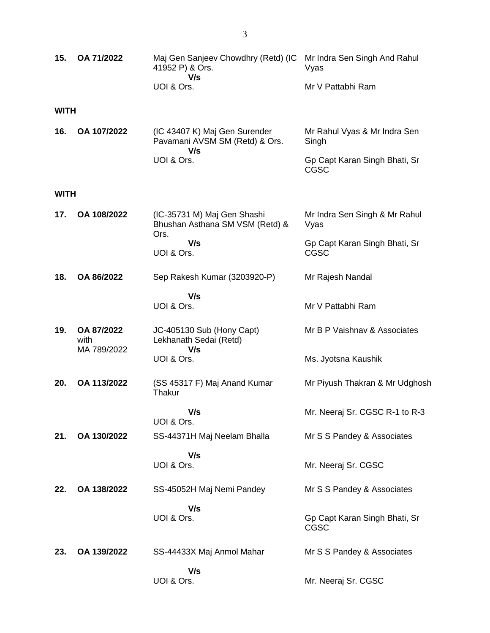| 15.         | OA 71/2022                        | Maj Gen Sanjeev Chowdhry (Retd) (IC<br>41952 P) & Ors.<br>V/s          | Mr Indra Sen Singh And Rahul<br>Vyas         |
|-------------|-----------------------------------|------------------------------------------------------------------------|----------------------------------------------|
|             |                                   | UOI & Ors.                                                             | Mr V Pattabhi Ram                            |
| <b>WITH</b> |                                   |                                                                        |                                              |
| 16.         | OA 107/2022                       | (IC 43407 K) Maj Gen Surender<br>Pavamani AVSM SM (Retd) & Ors.<br>V/s | Mr Rahul Vyas & Mr Indra Sen<br>Singh        |
|             |                                   | UOI & Ors.                                                             | Gp Capt Karan Singh Bhati, Sr<br><b>CGSC</b> |
| <b>WITH</b> |                                   |                                                                        |                                              |
| 17.         | OA 108/2022                       | (IC-35731 M) Maj Gen Shashi<br>Bhushan Asthana SM VSM (Retd) &<br>Ors. | Mr Indra Sen Singh & Mr Rahul<br>Vyas        |
|             |                                   | V/s<br>UOI & Ors.                                                      | Gp Capt Karan Singh Bhati, Sr<br><b>CGSC</b> |
| 18.         | OA 86/2022                        | Sep Rakesh Kumar (3203920-P)                                           | Mr Rajesh Nandal                             |
|             |                                   | V/s<br>UOI & Ors.                                                      | Mr V Pattabhi Ram                            |
| 19.         | OA 87/2022<br>with<br>MA 789/2022 | JC-405130 Sub (Hony Capt)<br>Lekhanath Sedai (Retd)<br>V/s             | Mr B P Vaishnav & Associates                 |
|             |                                   | UOI & Ors.                                                             | Ms. Jyotsna Kaushik                          |
| 20.         | OA 113/2022                       | (SS 45317 F) Maj Anand Kumar<br>Thakur                                 | Mr Piyush Thakran & Mr Udghosh               |
|             |                                   | V/s<br>UOI & Ors.                                                      | Mr. Neeraj Sr. CGSC R-1 to R-3               |
| 21.         | OA 130/2022                       | SS-44371H Maj Neelam Bhalla                                            | Mr S S Pandey & Associates                   |
|             |                                   | V/s<br>UOI & Ors.                                                      | Mr. Neeraj Sr. CGSC                          |
| 22.         | OA 138/2022                       | SS-45052H Maj Nemi Pandey                                              | Mr S S Pandey & Associates                   |
|             |                                   | V/s<br>UOI & Ors.                                                      | Gp Capt Karan Singh Bhati, Sr<br><b>CGSC</b> |
| 23.         | OA 139/2022                       | SS-44433X Maj Anmol Mahar                                              | Mr S S Pandey & Associates                   |
|             |                                   | V/s<br>UOI & Ors.                                                      | Mr. Neeraj Sr. CGSC                          |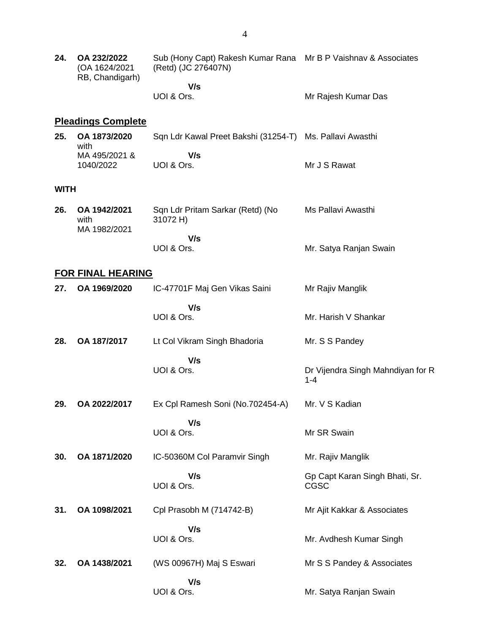| 24.         | OA 232/2022<br>(OA 1624/2021<br>RB, Chandigarh) | Sub (Hony Capt) Rakesh Kumar Rana Mr B P Vaishnav & Associates<br>(Retd) (JC 276407N) |                                               |
|-------------|-------------------------------------------------|---------------------------------------------------------------------------------------|-----------------------------------------------|
|             |                                                 | V/s                                                                                   |                                               |
|             |                                                 | UOI & Ors.                                                                            | Mr Rajesh Kumar Das                           |
|             | <b>Pleadings Complete</b>                       |                                                                                       |                                               |
| 25.         | OA 1873/2020<br>with                            | Sqn Ldr Kawal Preet Bakshi (31254-T) Ms. Pallavi Awasthi                              |                                               |
|             | MA 495/2021 &<br>1040/2022                      | V/s<br>UOI & Ors.                                                                     | Mr J S Rawat                                  |
| <b>WITH</b> |                                                 |                                                                                       |                                               |
| 26.         | OA 1942/2021<br>with<br>MA 1982/2021            | Sqn Ldr Pritam Sarkar (Retd) (No<br>31072 H)                                          | Ms Pallavi Awasthi                            |
|             |                                                 | V/s<br>UOI & Ors.                                                                     | Mr. Satya Ranjan Swain                        |
|             | <b>FOR FINAL HEARING</b>                        |                                                                                       |                                               |
| 27.         | OA 1969/2020                                    | IC-47701F Maj Gen Vikas Saini                                                         | Mr Rajiv Manglik                              |
|             |                                                 | V/s<br>UOI & Ors.                                                                     | Mr. Harish V Shankar                          |
| 28.         | OA 187/2017                                     | Lt Col Vikram Singh Bhadoria                                                          | Mr. S S Pandey                                |
|             |                                                 | V/s<br>UOI & Ors.                                                                     | Dr Vijendra Singh Mahndiyan for R<br>$1 - 4$  |
| 29.         | OA 2022/2017                                    | Ex Cpl Ramesh Soni (No.702454-A)                                                      | Mr. V S Kadian                                |
|             |                                                 | V/s<br>UOI & Ors.                                                                     | Mr SR Swain                                   |
| 30.         | OA 1871/2020                                    | IC-50360M Col Paramvir Singh                                                          | Mr. Rajiv Manglik                             |
|             |                                                 | V/s<br>UOI & Ors.                                                                     | Gp Capt Karan Singh Bhati, Sr.<br><b>CGSC</b> |
| 31.         | OA 1098/2021                                    | Cpl Prasobh M (714742-B)                                                              | Mr Ajit Kakkar & Associates                   |
|             |                                                 | V/s                                                                                   |                                               |
|             |                                                 | UOI & Ors.                                                                            | Mr. Avdhesh Kumar Singh                       |
| 32.         | OA 1438/2021                                    | (WS 00967H) Maj S Eswari                                                              | Mr S S Pandey & Associates                    |
|             |                                                 | V/s<br>UOI & Ors.                                                                     | Mr. Satya Ranjan Swain                        |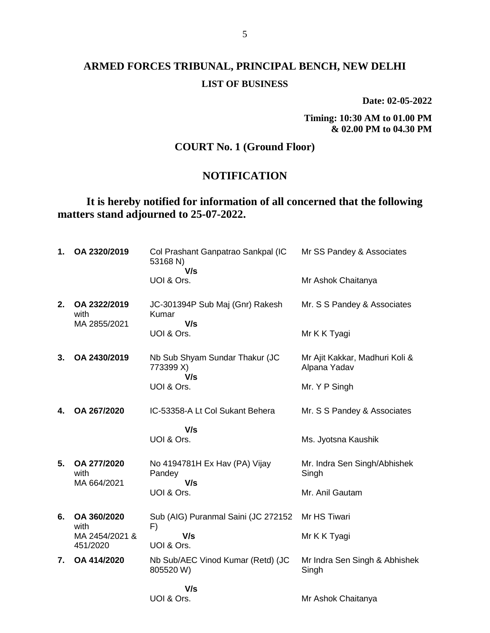**Date: 02-05-2022**

**Timing: 10:30 AM to 01.00 PM & 02.00 PM to 04.30 PM**

### **COURT No. 1 (Ground Floor)**

### **NOTIFICATION**

## **It is hereby notified for information of all concerned that the following matters stand adjourned to 25-07-2022.**

| 1. | OA 2320/2019                         | Col Prashant Ganpatrao Sankpal (IC<br>53168 N)<br>V/s | Mr SS Pandey & Associates                      |
|----|--------------------------------------|-------------------------------------------------------|------------------------------------------------|
|    |                                      | UOI & Ors.                                            | Mr Ashok Chaitanya                             |
| 2. | OA 2322/2019<br>with<br>MA 2855/2021 | JC-301394P Sub Maj (Gnr) Rakesh<br>Kumar<br>V/s       | Mr. S S Pandey & Associates                    |
|    |                                      | UOI & Ors.                                            | Mr K K Tyagi                                   |
| 3. | OA 2430/2019                         | Nb Sub Shyam Sundar Thakur (JC<br>773399 X)<br>V/s    | Mr Ajit Kakkar, Madhuri Koli &<br>Alpana Yadav |
|    |                                      | UOI & Ors.                                            | Mr. Y P Singh                                  |
| 4. | OA 267/2020                          | IC-53358-A Lt Col Sukant Behera                       | Mr. S S Pandey & Associates                    |
|    |                                      | V/s                                                   |                                                |
|    |                                      | UOI & Ors.                                            | Ms. Jyotsna Kaushik                            |
| 5. | OA 277/2020<br>with<br>MA 664/2021   | No 4194781H Ex Hav (PA) Vijay<br>Pandey<br>V/s        | Mr. Indra Sen Singh/Abhishek<br>Singh          |
|    |                                      | UOI & Ors.                                            | Mr. Anil Gautam                                |
| 6. | OA 360/2020<br>with                  | Sub (AIG) Puranmal Saini (JC 272152<br>F)             | Mr HS Tiwari                                   |
|    | MA 2454/2021 &<br>451/2020           | V/s<br>UOI & Ors.                                     | Mr K K Tyagi                                   |
| 7. | OA 414/2020                          | Nb Sub/AEC Vinod Kumar (Retd) (JC<br>805520 W)        | Mr Indra Sen Singh & Abhishek<br>Singh         |
|    |                                      | V/s                                                   |                                                |
|    |                                      | UOI & Ors.                                            | Mr Ashok Chaitanya                             |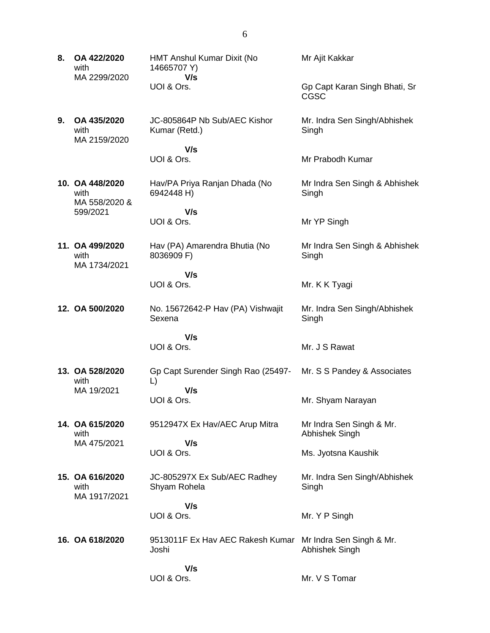- **8. OA 422/2020** with MA 2299/2020 HMT Anshul Kumar Dixit (No 14665707 Y)  **V/s** UOI & Ors. Mr Ajit Kakkar CGSC
	- JC-805864P Nb Sub/AEC Kishor Kumar (Retd.)

Hav/PA Priya Ranjan Dhada (No

Hav (PA) Amarendra Bhutia (No

 **V/s** UOI & Ors.

**10. OA 448/2020** with MA 558/2020 & 599/2021

**9. OA 435/2020** with

MA 2159/2020

6942448 H)  **V/s** UOI & Ors.

**11. OA 499/2020** with MA 1734/2021

 **V/s** UOI & Ors.

8036909 F)

**12. OA 500/2020** No. 15672642-P Hav (PA) Vishwajit Sexena Singh

Gp Capt Surender Singh Rao (25497-

9512947X Ex Hav/AEC Arup Mitra

 **V/s** UOI & Ors.

UOI & Ors.

**13. OA 528/2020** with MA 19/2021

**14. OA 615/2020** with MA 475/2021

 **V/s** UOI & Ors.

L)

**15. OA 616/2020** with MA 1917/2021 JC-805297X Ex Sub/AEC Radhey Shyam Rohela  **V/s Singh** 

 **V/s**

UOI & Ors.

**16. OA 618/2020** 9513011F Ex Hav AEC Rakesh Kumar Joshi Mr Indra Sen Singh & Mr. Abhishek Singh

> **V/s** UOI & Ors.

Gp Capt Karan Singh Bhati, Sr

Mr. Indra Sen Singh/Abhishek **Singh** 

Mr Prabodh Kumar

Mr Indra Sen Singh & Abhishek Singh

Mr YP Singh

Mr Indra Sen Singh & Abhishek **Singh** 

Mr. K K Tyagi

Mr. Indra Sen Singh/Abhishek

Mr. S S Pandey & Associates

Mr. J S Rawat

Mr. Shyam Narayan

Mr Indra Sen Singh & Mr. Abhishek Singh

Ms. Jyotsna Kaushik

Mr. Indra Sen Singh/Abhishek

Mr. Y P Singh

Mr. V S Tomar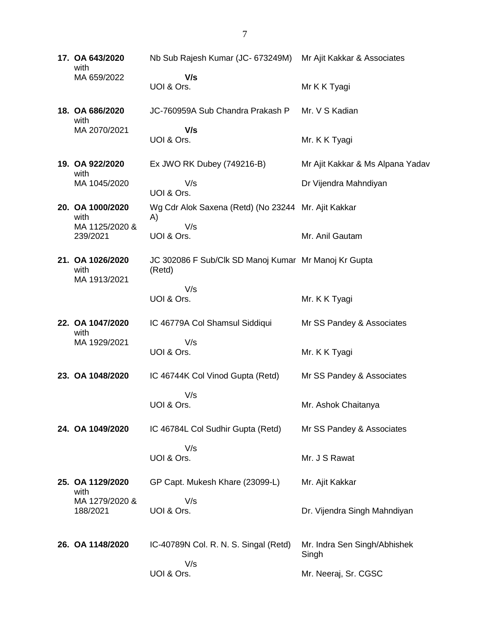**17. OA 643/2020** with MA 659/2022 Nb Sub Rajesh Kumar (JC- 673249M) Mr Ajit Kakkar & Associates  **V/s** UOI & Ors. Mr K K Tyagi **18. OA 686/2020** with MA 2070/2021 JC-760959A Sub Chandra Prakash P  **V/s** UOI & Ors. Mr. V S Kadian Mr. K K Tyagi **19. OA 922/2020** with MA 1045/2020 Ex JWO RK Dubey (749216-B) V/s UOI & Ors. Mr Ajit Kakkar & Ms Alpana Yadav Dr Vijendra Mahndiyan **20. OA 1000/2020** with MA 1125/2020 & 239/2021 Wg Cdr Alok Saxena (Retd) (No 23244 Mr. Ajit Kakkar A) V/s UOI & Ors. Mr. Anil Gautam **21. OA 1026/2020** with MA 1913/2021 JC 302086 F Sub/Clk SD Manoj Kumar Mr Manoj Kr Gupta (Retd) V/s UOI & Ors. Mr. K K Tyagi **22. OA 1047/2020** with MA 1929/2021 IC 46779A Col Shamsul Siddiqui V/s UOI & Ors. Mr SS Pandey & Associates Mr. K K Tyagi **23. OA 1048/2020** IC 46744K Col Vinod Gupta (Retd) V/s UOI & Ors. Mr SS Pandey & Associates Mr. Ashok Chaitanya **24. OA 1049/2020** IC 46784L Col Sudhir Gupta (Retd) V/s UOI & Ors. Mr SS Pandey & Associates Mr. J S Rawat **25. OA 1129/2020** with MA 1279/2020 & 188/2021 GP Capt. Mukesh Khare (23099-L) V/s UOI & Ors. Mr. Ajit Kakkar Dr. Vijendra Singh Mahndiyan **26. OA 1148/2020** IC-40789N Col. R. N. S. Singal (Retd) V/s UOI & Ors. Mr. Indra Sen Singh/Abhishek Singh Mr. Neeraj, Sr. CGSC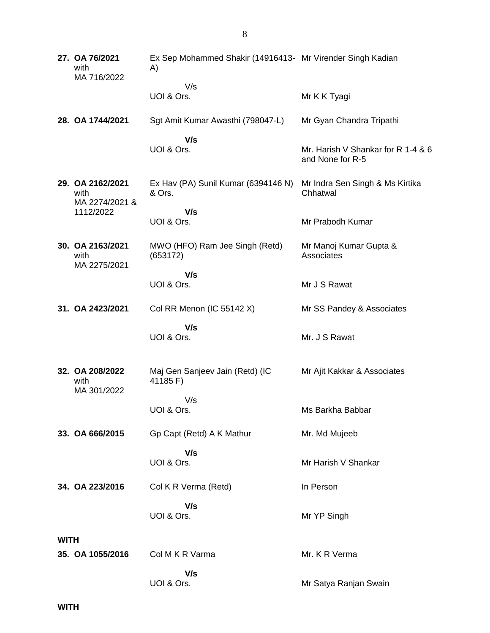**27. OA 76/2021** with MA 716/2022 Ex Sep Mohammed Shakir (14916413- Mr Virender Singh Kadian A) V/s UOI & Ors. Mr K K Tyagi **28. OA 1744/2021** Sgt Amit Kumar Awasthi (798047-L)  **V/s** UOI & Ors. Mr Gyan Chandra Tripathi Mr. Harish V Shankar for R 1-4 & 6 and None for R-5 **29. OA 2162/2021** with MA 2274/2021 & 1112/2022 Ex Hav (PA) Sunil Kumar (6394146 N) & Ors.  **V/s** UOI & Ors. Mr Indra Sen Singh & Ms Kirtika Chhatwal Mr Prabodh Kumar **30. OA 2163/2021** with MA 2275/2021 MWO (HFO) Ram Jee Singh (Retd) (653172)  **V/s** UOI & Ors. Mr Manoj Kumar Gupta & **Associates** Mr J S Rawat **31. OA 2423/2021** Col RR Menon (IC 55142 X)  **V/s** UOI & Ors. Mr SS Pandey & Associates Mr. J S Rawat **32. OA 208/2022** with MA 301/2022 Maj Gen Sanjeev Jain (Retd) (IC 41185 F) V/s UOI & Ors. Mr Ajit Kakkar & Associates Ms Barkha Babbar **33. OA 666/2015** Gp Capt (Retd) A K Mathur  **V/s** UOI & Ors. Mr. Md Mujeeb Mr Harish V Shankar **34. OA 223/2016** Col K R Verma (Retd)  **V/s** UOI & Ors. In Person Mr YP Singh **WITH 35. OA 1055/2016** Col M K R Varma  **V/s** UOI & Ors. Mr. K R Verma Mr Satya Ranjan Swain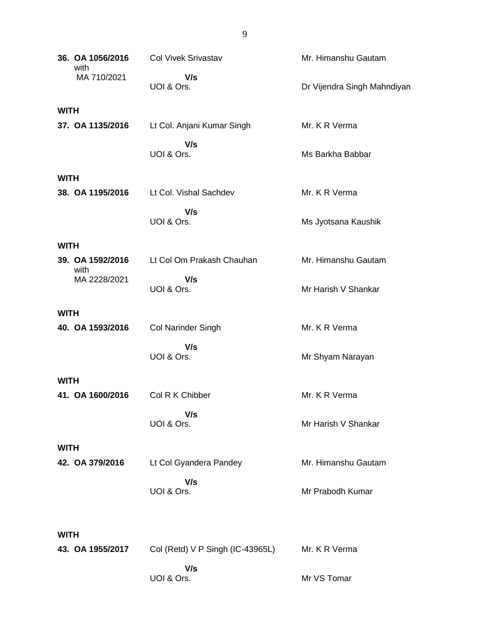|             | 36. OA 1056/2016<br>with | <b>Col Vivek Srivastav</b>       | Mr. Himanshu Gautam         |  |  |
|-------------|--------------------------|----------------------------------|-----------------------------|--|--|
|             | MA 710/2021              | V/s<br>UOI & Ors.                | Dr Vijendra Singh Mahndiyan |  |  |
| <b>WITH</b> |                          |                                  |                             |  |  |
|             | 37. OA 1135/2016         | Lt Col. Anjani Kumar Singh       | Mr. K R Verma               |  |  |
|             |                          | V/s<br>UOI & Ors.                | Ms Barkha Babbar            |  |  |
| <b>WITH</b> |                          |                                  |                             |  |  |
|             | 38. OA 1195/2016         | Lt Col. Vishal Sachdev           | Mr. K R Verma               |  |  |
|             |                          | V/s<br>UOI & Ors.                | Ms Jyotsana Kaushik         |  |  |
| <b>WITH</b> |                          |                                  |                             |  |  |
|             | 39. OA 1592/2016<br>with | Lt Col Om Prakash Chauhan        | Mr. Himanshu Gautam         |  |  |
|             | MA 2228/2021             | V/s<br>UOI & Ors.                | Mr Harish V Shankar         |  |  |
| <b>WITH</b> |                          |                                  |                             |  |  |
|             | 40. OA 1593/2016         | <b>Col Narinder Singh</b>        | Mr. K R Verma               |  |  |
|             |                          | V/s<br>UOI & Ors.                | Mr Shyam Narayan            |  |  |
| <b>WITH</b> |                          |                                  |                             |  |  |
|             | 41. OA 1600/2016         | Col R K Chibber                  | Mr. K R Verma               |  |  |
|             |                          | V/s<br>UOI & Ors.                | Mr Harish V Shankar         |  |  |
| <b>WITH</b> |                          |                                  |                             |  |  |
|             | 42. OA 379/2016          | Lt Col Gyandera Pandey           | Mr. Himanshu Gautam         |  |  |
|             |                          | V/s<br>UOI & Ors.                | Mr Prabodh Kumar            |  |  |
|             | <b>WITH</b>              |                                  |                             |  |  |
|             | 43. OA 1955/2017         | Col (Retd) V P Singh (IC-43965L) | Mr. K R Verma               |  |  |
|             |                          | V/s<br>UOI & Ors.                | Mr VS Tomar                 |  |  |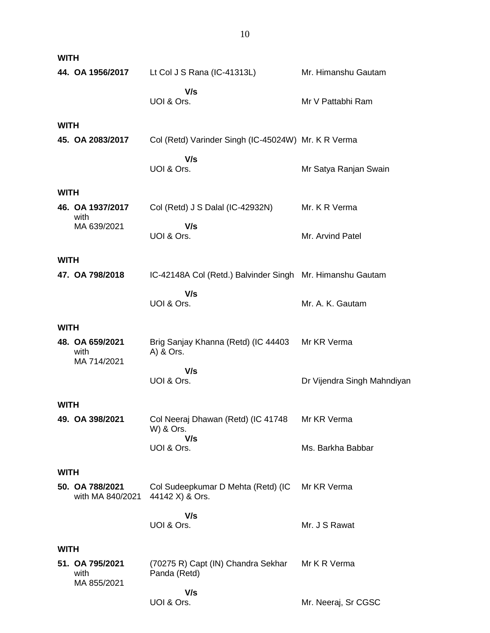| <b>WITH</b> |                                        |                                                           |                             |
|-------------|----------------------------------------|-----------------------------------------------------------|-----------------------------|
|             | 44. OA 1956/2017                       | Lt Col J S Rana (IC-41313L)                               | Mr. Himanshu Gautam         |
|             |                                        | V/s<br>UOI & Ors.                                         | Mr V Pattabhi Ram           |
| <b>WITH</b> |                                        |                                                           |                             |
|             | 45. OA 2083/2017                       | Col (Retd) Varinder Singh (IC-45024W) Mr. K R Verma       |                             |
|             |                                        | V/s<br>UOI & Ors.                                         | Mr Satya Ranjan Swain       |
| <b>WITH</b> |                                        |                                                           |                             |
|             | 46. OA 1937/2017<br>with               | Col (Retd) J S Dalal (IC-42932N)                          | Mr. K R Verma               |
|             | MA 639/2021                            | V/s<br>UOI & Ors.                                         | Mr. Arvind Patel            |
| <b>WITH</b> |                                        |                                                           |                             |
|             | 47. OA 798/2018                        | IC-42148A Col (Retd.) Balvinder Singh Mr. Himanshu Gautam |                             |
|             |                                        | V/s<br>UOI & Ors.                                         | Mr. A. K. Gautam            |
| <b>WITH</b> |                                        |                                                           |                             |
|             | 48. OA 659/2021<br>with                | Brig Sanjay Khanna (Retd) (IC 44403<br>A) & Ors.          | Mr KR Verma                 |
|             | MA 714/2021                            | V/s                                                       |                             |
|             |                                        | UOI & Ors.                                                | Dr Vijendra Singh Mahndiyan |
| <b>WITH</b> |                                        |                                                           |                             |
|             | 49. OA 398/2021                        | Col Neeraj Dhawan (Retd) (IC 41748<br>W) & Ors.           | Mr KR Verma                 |
|             |                                        | V/s<br>UOI & Ors.                                         | Ms. Barkha Babbar           |
| <b>WITH</b> |                                        |                                                           |                             |
|             | 50. OA 788/2021<br>with MA 840/2021    | Col Sudeepkumar D Mehta (Retd) (IC<br>44142 X) & Ors.     | Mr KR Verma                 |
|             |                                        | V/s<br>UOI & Ors.                                         | Mr. J S Rawat               |
|             |                                        |                                                           |                             |
| <b>WITH</b> |                                        |                                                           |                             |
|             | 51. OA 795/2021<br>with<br>MA 855/2021 | (70275 R) Capt (IN) Chandra Sekhar<br>Panda (Retd)        | Mr K R Verma                |
|             |                                        | V/s<br>UOI & Ors.                                         | Mr. Neeraj, Sr CGSC         |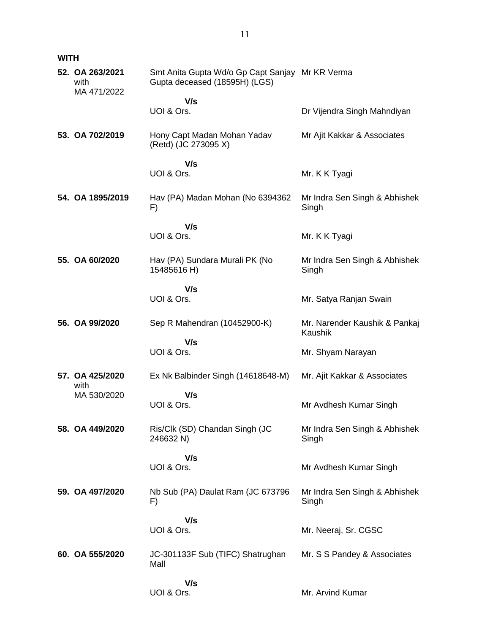**WITH**

| 52. OA 263/2021<br>with<br>MA 471/2022 | Smt Anita Gupta Wd/o Gp Capt Sanjay Mr KR Verma<br>Gupta deceased (18595H) (LGS) |                                          |
|----------------------------------------|----------------------------------------------------------------------------------|------------------------------------------|
|                                        | V/s                                                                              |                                          |
|                                        | UOI & Ors.                                                                       | Dr Vijendra Singh Mahndiyan              |
| 53. OA 702/2019                        | Hony Capt Madan Mohan Yadav<br>(Retd) (JC 273095 X)                              | Mr Ajit Kakkar & Associates              |
|                                        | V/s                                                                              |                                          |
|                                        | UOI & Ors.                                                                       | Mr. K K Tyagi                            |
| 54. OA 1895/2019                       | Hav (PA) Madan Mohan (No 6394362<br>F)                                           | Mr Indra Sen Singh & Abhishek<br>Singh   |
|                                        | V/s                                                                              |                                          |
|                                        | UOI & Ors.                                                                       | Mr. K K Tyagi                            |
| 55. OA 60/2020                         | Hav (PA) Sundara Murali PK (No<br>15485616 H)                                    | Mr Indra Sen Singh & Abhishek<br>Singh   |
|                                        | V/s                                                                              |                                          |
|                                        | UOI & Ors.                                                                       | Mr. Satya Ranjan Swain                   |
| 56. OA 99/2020                         | Sep R Mahendran (10452900-K)                                                     | Mr. Narender Kaushik & Pankaj<br>Kaushik |
|                                        | V/s<br>UOI & Ors.                                                                | Mr. Shyam Narayan                        |
| 57. OA 425/2020                        | Ex Nk Balbinder Singh (14618648-M)                                               | Mr. Ajit Kakkar & Associates             |
| with<br>MA 530/2020                    | V/s                                                                              |                                          |
|                                        | UOI & Ors.                                                                       | Mr Avdhesh Kumar Singh                   |
| 58. OA 449/2020                        | Ris/Clk (SD) Chandan Singh (JC<br>246632 N)                                      | Mr Indra Sen Singh & Abhishek<br>Singh   |
|                                        | V/s                                                                              |                                          |
|                                        | UOI & Ors.                                                                       | Mr Avdhesh Kumar Singh                   |
| 59. OA 497/2020                        | Nb Sub (PA) Daulat Ram (JC 673796<br>F)                                          | Mr Indra Sen Singh & Abhishek<br>Singh   |
|                                        | V/s                                                                              |                                          |
|                                        | UOI & Ors.                                                                       | Mr. Neeraj, Sr. CGSC                     |
| 60. OA 555/2020                        | JC-301133F Sub (TIFC) Shatrughan<br>Mall                                         | Mr. S S Pandey & Associates              |
|                                        | V/s<br>UOI & Ors.                                                                | Mr. Arvind Kumar                         |
|                                        |                                                                                  |                                          |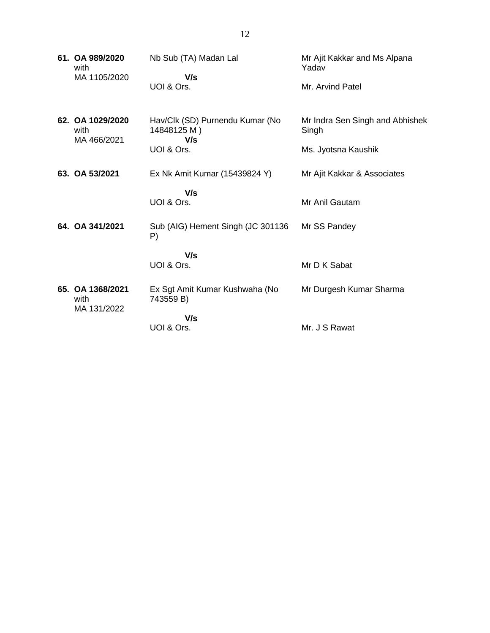| 61. OA 989/2020<br>with<br>MA 1105/2020 | Nb Sub (TA) Madan Lal<br>V/s                          | Mr Ajit Kakkar and Ms Alpana<br>Yadav    |
|-----------------------------------------|-------------------------------------------------------|------------------------------------------|
|                                         | UOI & Ors.                                            | Mr. Arvind Patel                         |
| 62. OA 1029/2020<br>with<br>MA 466/2021 | Hav/Clk (SD) Purnendu Kumar (No<br>14848125 M)<br>V/s | Mr Indra Sen Singh and Abhishek<br>Singh |
|                                         | UOI & Ors.                                            | Ms. Jyotsna Kaushik                      |
| 63. OA 53/2021                          | Ex Nk Amit Kumar (15439824 Y)                         | Mr Ajit Kakkar & Associates              |
|                                         | V/s                                                   |                                          |
|                                         | UOI & Ors.                                            | Mr Anil Gautam                           |
| 64. OA 341/2021                         | Sub (AIG) Hement Singh (JC 301136<br>P)               | Mr SS Pandey                             |
|                                         | V/s                                                   |                                          |
|                                         | UOI & Ors.                                            | Mr D K Sabat                             |
| 65. OA 1368/2021<br>with<br>MA 131/2022 | Ex Sgt Amit Kumar Kushwaha (No<br>743559 B)           | Mr Durgesh Kumar Sharma                  |
|                                         | V/s                                                   |                                          |
|                                         | UOI & Ors.                                            | Mr. J S Rawat                            |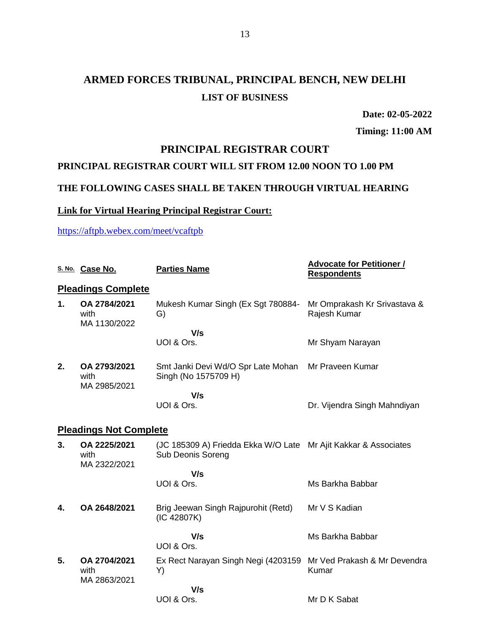# **ARMED FORCES TRIBUNAL, PRINCIPAL BENCH, NEW DELHI LIST OF BUSINESS**

**Date: 02-05-2022**

**Timing: 11:00 AM**

#### **PRINCIPAL REGISTRAR COURT**

#### **PRINCIPAL REGISTRAR COURT WILL SIT FROM 12.00 NOON TO 1.00 PM**

### **THE FOLLOWING CASES SHALL BE TAKEN THROUGH VIRTUAL HEARING**

### **Link for Virtual Hearing Principal Registrar Court:**

<https://aftpb.webex.com/meet/vcaftpb>

|    | S. No. Case No.                      | <b>Parties Name</b>                                                                         | <b>Advocate for Petitioner /</b><br><b>Respondents</b> |
|----|--------------------------------------|---------------------------------------------------------------------------------------------|--------------------------------------------------------|
|    | <b>Pleadings Complete</b>            |                                                                                             |                                                        |
| 1. | OA 2784/2021<br>with<br>MA 1130/2022 | Mukesh Kumar Singh (Ex Sgt 780884-<br>G)                                                    | Mr Omprakash Kr Srivastava &<br>Rajesh Kumar           |
|    |                                      | V/s                                                                                         |                                                        |
|    |                                      | UOI & Ors.                                                                                  | Mr Shyam Narayan                                       |
| 2. | OA 2793/2021<br>with<br>MA 2985/2021 | Smt Janki Devi Wd/O Spr Late Mohan<br>Singh (No 1575709 H)                                  | Mr Praveen Kumar                                       |
|    |                                      | V/s                                                                                         |                                                        |
|    |                                      | UOI & Ors.                                                                                  | Dr. Vijendra Singh Mahndiyan                           |
|    | <b>Pleadings Not Complete</b>        |                                                                                             |                                                        |
| 3. | OA 2225/2021<br>with<br>MA 2322/2021 | (JC 185309 A) Friedda Ekka W/O Late Mr Ajit Kakkar & Associates<br><b>Sub Deonis Soreng</b> |                                                        |
|    |                                      | V/s                                                                                         |                                                        |
|    |                                      | UOI & Ors.                                                                                  | Ms Barkha Babbar                                       |
| 4. | OA 2648/2021                         | Brig Jeewan Singh Rajpurohit (Retd)<br>(IC 42807K)                                          | Mr V S Kadian                                          |
|    |                                      | V/s<br>UOI & Ors.                                                                           | Ms Barkha Babbar                                       |
| 5. | OA 2704/2021<br>with                 | Ex Rect Narayan Singh Negi (4203159 Mr Ved Prakash & Mr Devendra<br>Y)                      | Kumar                                                  |
|    | MA 2863/2021                         | V/s                                                                                         |                                                        |
|    |                                      | UOI & Ors.                                                                                  | Mr D K Sabat                                           |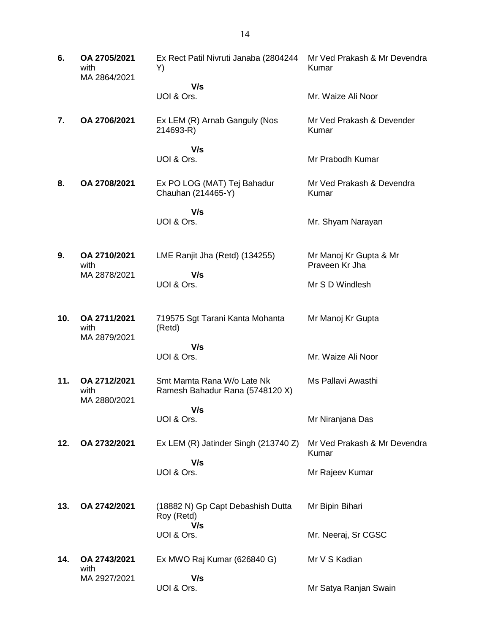| 6.  | OA 2705/2021<br>with<br>MA 2864/2021 | Ex Rect Patil Nivruti Janaba (2804244<br>Y)                   | Mr Ved Prakash & Mr Devendra<br>Kumar    |
|-----|--------------------------------------|---------------------------------------------------------------|------------------------------------------|
|     |                                      | V/s<br>UOI & Ors.                                             | Mr. Waize Ali Noor                       |
| 7.  | OA 2706/2021                         | Ex LEM (R) Arnab Ganguly (Nos<br>214693-R)                    | Mr Ved Prakash & Devender<br>Kumar       |
|     |                                      | V/s<br>UOI & Ors.                                             | Mr Prabodh Kumar                         |
| 8.  | OA 2708/2021                         | Ex PO LOG (MAT) Tej Bahadur<br>Chauhan (214465-Y)             | Mr Ved Prakash & Devendra<br>Kumar       |
|     |                                      | V/s<br>UOI & Ors.                                             | Mr. Shyam Narayan                        |
| 9.  | OA 2710/2021<br>with                 | LME Ranjit Jha (Retd) (134255)                                | Mr Manoj Kr Gupta & Mr<br>Praveen Kr Jha |
|     | MA 2878/2021                         | V/s<br>UOI & Ors.                                             | Mr S D Windlesh                          |
| 10. | OA 2711/2021<br>with<br>MA 2879/2021 | 719575 Sgt Tarani Kanta Mohanta<br>(Retd)                     | Mr Manoj Kr Gupta                        |
|     |                                      | V/s<br>UOI & Ors.                                             | Mr. Waize Ali Noor                       |
| 11. | OA 2712/2021<br>with                 | Smt Mamta Rana W/o Late Nk<br>Ramesh Bahadur Rana (5748120 X) | Ms Pallavi Awasthi                       |
|     | MA 2880/2021                         | V/s<br>UOI & Ors.                                             | Mr Niranjana Das                         |
| 12. | OA 2732/2021                         | Ex LEM (R) Jatinder Singh (213740 Z)                          | Mr Ved Prakash & Mr Devendra<br>Kumar    |
|     |                                      | V/s<br>UOI & Ors.                                             | Mr Rajeev Kumar                          |
| 13. | OA 2742/2021                         | (18882 N) Gp Capt Debashish Dutta<br>Roy (Retd)<br>V/s        | Mr Bipin Bihari                          |
|     |                                      | UOI & Ors.                                                    | Mr. Neeraj, Sr CGSC                      |
| 14. | OA 2743/2021<br>with                 | Ex MWO Raj Kumar (626840 G)                                   | Mr V S Kadian                            |
|     | MA 2927/2021                         | V/s<br>UOI & Ors.                                             | Mr Satya Ranjan Swain                    |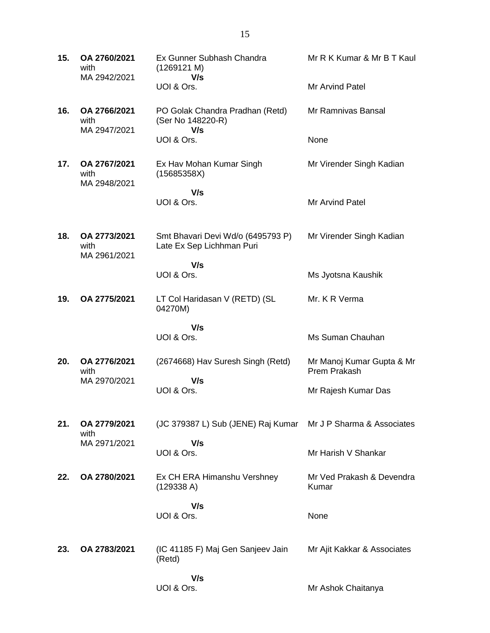| 15. | OA 2760/2021<br>with                 | Ex Gunner Subhash Chandra<br>(1269121 M)                       | Mr R K Kumar & Mr B T Kaul                |
|-----|--------------------------------------|----------------------------------------------------------------|-------------------------------------------|
|     | MA 2942/2021                         | V/s<br>UOI & Ors.                                              | Mr Arvind Patel                           |
| 16. | OA 2766/2021<br>with<br>MA 2947/2021 | PO Golak Chandra Pradhan (Retd)<br>(Ser No 148220-R)           | Mr Ramnivas Bansal                        |
|     |                                      | V/s<br>UOI & Ors.                                              | None                                      |
| 17. | OA 2767/2021<br>with<br>MA 2948/2021 | Ex Hav Mohan Kumar Singh<br>(15685358X)                        | Mr Virender Singh Kadian                  |
|     |                                      | V/s<br>UOI & Ors.                                              | <b>Mr Arvind Patel</b>                    |
| 18. | OA 2773/2021<br>with<br>MA 2961/2021 | Smt Bhavari Devi Wd/o (6495793 P)<br>Late Ex Sep Lichhman Puri | Mr Virender Singh Kadian                  |
|     |                                      | V/s<br>UOI & Ors.                                              | Ms Jyotsna Kaushik                        |
| 19. | OA 2775/2021                         | LT Col Haridasan V (RETD) (SL<br>04270M)                       | Mr. K R Verma                             |
|     |                                      | V/s<br>UOI & Ors.                                              | Ms Suman Chauhan                          |
| 20. | OA 2776/2021<br>with                 | (2674668) Hav Suresh Singh (Retd)                              | Mr Manoj Kumar Gupta & Mr<br>Prem Prakash |
|     | MA 2970/2021                         | V/s<br>UOI & Ors.                                              | Mr Rajesh Kumar Das                       |
| 21. | OA 2779/2021<br>with                 | (JC 379387 L) Sub (JENE) Raj Kumar                             | Mr J P Sharma & Associates                |
|     | MA 2971/2021                         | V/s<br>UOI & Ors.                                              | Mr Harish V Shankar                       |
| 22. | OA 2780/2021                         | Ex CH ERA Himanshu Vershney<br>(129338 A)                      | Mr Ved Prakash & Devendra<br>Kumar        |
|     |                                      | V/s<br>UOI & Ors.                                              | None                                      |
| 23. | OA 2783/2021                         | (IC 41185 F) Maj Gen Sanjeev Jain<br>(Retd)                    | Mr Ajit Kakkar & Associates               |
|     |                                      | V/s<br>UOI & Ors.                                              | Mr Ashok Chaitanya                        |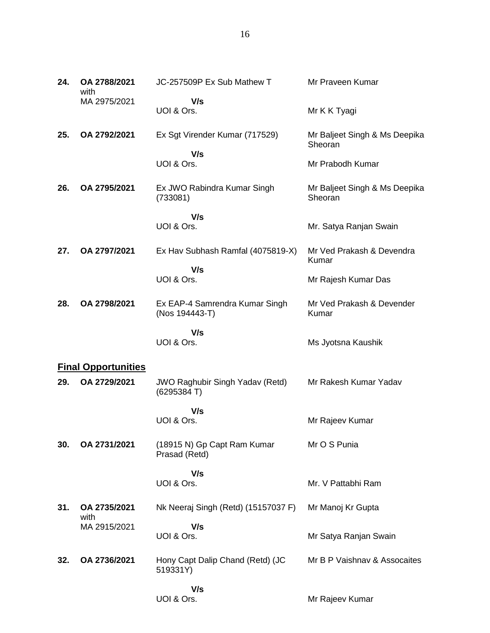| 24. | OA 2788/2021<br>with       | JC-257509P Ex Sub Mathew T                           | Mr Praveen Kumar                         |
|-----|----------------------------|------------------------------------------------------|------------------------------------------|
|     | MA 2975/2021               | V/s<br>UOI & Ors.                                    | Mr K K Tyagi                             |
| 25. | OA 2792/2021               | Ex Sgt Virender Kumar (717529)<br>V/s                | Mr Baljeet Singh & Ms Deepika<br>Sheoran |
|     |                            | UOI & Ors.                                           | Mr Prabodh Kumar                         |
| 26. | OA 2795/2021               | Ex JWO Rabindra Kumar Singh<br>(733081)              | Mr Baljeet Singh & Ms Deepika<br>Sheoran |
|     |                            | V/s                                                  |                                          |
|     |                            | UOI & Ors.                                           | Mr. Satya Ranjan Swain                   |
| 27. | OA 2797/2021               | Ex Hav Subhash Ramfal (4075819-X)                    | Mr Ved Prakash & Devendra<br>Kumar       |
|     |                            | V/s<br>UOI & Ors.                                    | Mr Rajesh Kumar Das                      |
| 28. | OA 2798/2021               | Ex EAP-4 Samrendra Kumar Singh<br>(Nos 194443-T)     | Mr Ved Prakash & Devender<br>Kumar       |
|     |                            | V/s                                                  |                                          |
|     |                            | UOI & Ors.                                           | Ms Jyotsna Kaushik                       |
|     | <b>Final Opportunities</b> |                                                      |                                          |
| 29. | OA 2729/2021               | <b>JWO Raghubir Singh Yadav (Retd)</b><br>(6295384T) | Mr Rakesh Kumar Yadav                    |
|     |                            | V/s                                                  |                                          |
|     |                            | UOI & Ors.                                           | Mr Rajeev Kumar                          |
| 30. | OA 2731/2021               | (18915 N) Gp Capt Ram Kumar<br>Prasad (Retd)         | Mr O S Punia                             |
|     |                            | V/s                                                  |                                          |
|     |                            | UOI & Ors.                                           | Mr. V Pattabhi Ram                       |
| 31. | OA 2735/2021<br>with       | Nk Neeraj Singh (Retd) (15157037 F)                  | Mr Manoj Kr Gupta                        |
|     | MA 2915/2021               | V/s                                                  |                                          |
|     |                            | UOI & Ors.                                           | Mr Satya Ranjan Swain                    |
| 32. | OA 2736/2021               | Hony Capt Dalip Chand (Retd) (JC<br>519331Y)         | Mr B P Vaishnav & Assocaites             |
|     |                            | V/s                                                  |                                          |
|     |                            | UOI & Ors.                                           | Mr Rajeev Kumar                          |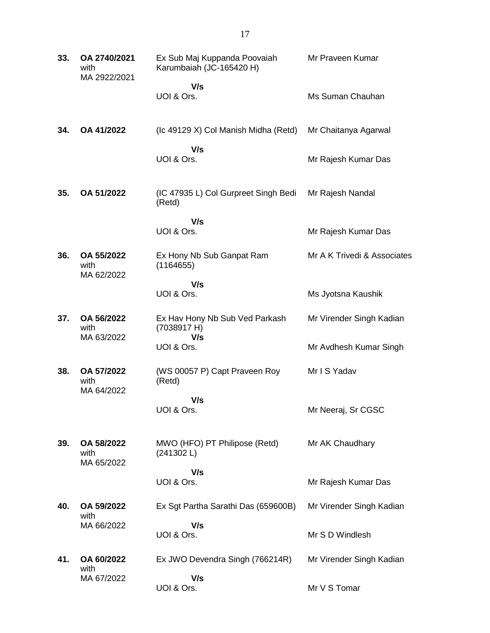| 33. | OA 2740/2021<br>with<br>MA 2922/2021 | Ex Sub Maj Kuppanda Poovaiah<br>Karumbaiah (JC-165420 H) | Mr Praveen Kumar            |
|-----|--------------------------------------|----------------------------------------------------------|-----------------------------|
|     |                                      | V/s<br>UOI & Ors.                                        | Ms Suman Chauhan            |
| 34. | OA 41/2022                           | (Ic 49129 X) Col Manish Midha (Retd)                     | Mr Chaitanya Agarwal        |
|     |                                      | V/s<br>UOI & Ors.                                        | Mr Rajesh Kumar Das         |
| 35. | OA 51/2022                           | (IC 47935 L) Col Gurpreet Singh Bedi<br>(Retd)           | Mr Rajesh Nandal            |
|     |                                      | V/s<br>UOI & Ors.                                        | Mr Rajesh Kumar Das         |
| 36. | OA 55/2022<br>with<br>MA 62/2022     | Ex Hony Nb Sub Ganpat Ram<br>(1164655)                   | Mr A K Trivedi & Associates |
|     |                                      | V/s<br>UOI & Ors.                                        | Ms Jyotsna Kaushik          |
| 37. | OA 56/2022<br>with<br>MA 63/2022     | Ex Hav Hony Nb Sub Ved Parkash<br>(7038917 H)<br>V/s     | Mr Virender Singh Kadian    |
|     |                                      | UOI & Ors.                                               | Mr Avdhesh Kumar Singh      |
| 38. | OA 57/2022<br>with<br>MA 64/2022     | (WS 00057 P) Capt Praveen Roy<br>(Retd)                  | Mr I S Yadav                |
|     |                                      | V/s<br>UOI & Ors.                                        | Mr Neeraj, Sr CGSC          |
| 39. | OA 58/2022<br>with<br>MA 65/2022     | MWO (HFO) PT Philipose (Retd)<br>(241302 L)              | Mr AK Chaudhary             |
|     |                                      | V/s<br>UOI & Ors.                                        | Mr Rajesh Kumar Das         |
| 40. | OA 59/2022<br>with<br>MA 66/2022     | Ex Sgt Partha Sarathi Das (659600B)                      | Mr Virender Singh Kadian    |
|     |                                      | V/s<br>UOI & Ors.                                        | Mr S D Windlesh             |
| 41. | OA 60/2022                           | Ex JWO Devendra Singh (766214R)                          | Mr Virender Singh Kadian    |
|     | with<br>MA 67/2022                   | V/s<br>UOI & Ors.                                        | Mr V S Tomar                |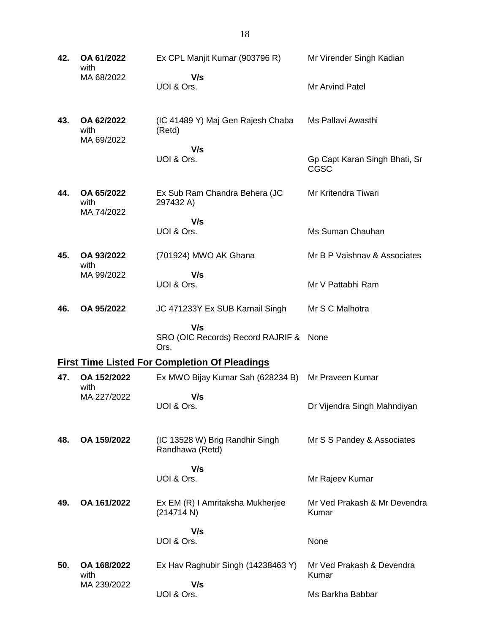| 42. | OA 61/2022<br>with               | Ex CPL Manjit Kumar (903796 R)                        | Mr Virender Singh Kadian                     |
|-----|----------------------------------|-------------------------------------------------------|----------------------------------------------|
|     | MA 68/2022                       | V/s<br>UOI & Ors.                                     | Mr Arvind Patel                              |
| 43. | OA 62/2022<br>with<br>MA 69/2022 | (IC 41489 Y) Maj Gen Rajesh Chaba<br>(Retd)           | Ms Pallavi Awasthi                           |
|     |                                  | V/s<br>UOI & Ors.                                     | Gp Capt Karan Singh Bhati, Sr<br><b>CGSC</b> |
| 44. | OA 65/2022<br>with<br>MA 74/2022 | Ex Sub Ram Chandra Behera (JC<br>297432 A)            | Mr Kritendra Tiwari                          |
|     |                                  | V/s<br>UOI & Ors.                                     | Ms Suman Chauhan                             |
| 45. | OA 93/2022<br>with               | (701924) MWO AK Ghana                                 | Mr B P Vaishnav & Associates                 |
|     | MA 99/2022                       | V/s<br>UOI & Ors.                                     | Mr V Pattabhi Ram                            |
| 46. | OA 95/2022                       | JC 471233Y Ex SUB Karnail Singh                       | Mr S C Malhotra                              |
|     |                                  | V/s<br>SRO (OIC Records) Record RAJRIF & None<br>Ors. |                                              |
|     |                                  | <b>First Time Listed For Completion Of Pleadings</b>  |                                              |
| 47. | OA 152/2022<br>with              | Ex MWO Bijay Kumar Sah (628234 B) Mr Praveen Kumar    |                                              |
|     | MA 227/2022                      | V/s<br>UOI & Ors.                                     | Dr Vijendra Singh Mahndiyan                  |
| 48. | OA 159/2022                      | (IC 13528 W) Brig Randhir Singh<br>Randhawa (Retd)    | Mr S S Pandey & Associates                   |
|     |                                  | V/s<br>UOI & Ors.                                     | Mr Rajeev Kumar                              |
| 49. | OA 161/2022                      | Ex EM (R) I Amritaksha Mukherjee<br>(214714 N)        | Mr Ved Prakash & Mr Devendra<br>Kumar        |
|     |                                  | V/s<br>UOI & Ors.                                     | None                                         |
| 50. | OA 168/2022<br>with              | Ex Hav Raghubir Singh (14238463 Y)                    | Mr Ved Prakash & Devendra<br>Kumar           |
|     | MA 239/2022                      | V/s<br>UOI & Ors.                                     | Ms Barkha Babbar                             |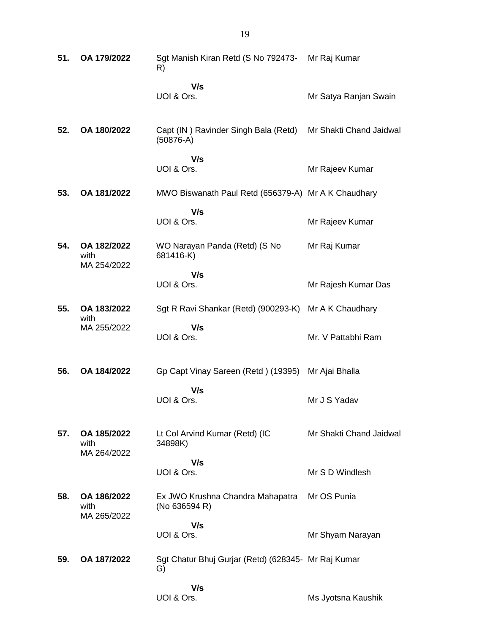| 51. | OA 179/2022                        | Sgt Manish Kiran Retd (S No 792473- Mr Raj Kumar<br>R)    |                         |
|-----|------------------------------------|-----------------------------------------------------------|-------------------------|
|     |                                    | V/s<br>UOI & Ors.                                         | Mr Satya Ranjan Swain   |
| 52. | OA 180/2022                        | Capt (IN) Ravinder Singh Bala (Retd)<br>$(50876-A)$       | Mr Shakti Chand Jaidwal |
|     |                                    | V/s<br>UOI & Ors.                                         | Mr Rajeev Kumar         |
| 53. | OA 181/2022                        | MWO Biswanath Paul Retd (656379-A) Mr A K Chaudhary       |                         |
|     |                                    | V/s<br>UOI & Ors.                                         | Mr Rajeev Kumar         |
| 54. | OA 182/2022<br>with                | WO Narayan Panda (Retd) (S No<br>681416-K)                | Mr Raj Kumar            |
|     | MA 254/2022                        | V/s                                                       |                         |
|     |                                    | UOI & Ors.                                                | Mr Rajesh Kumar Das     |
| 55. | OA 183/2022<br>with                | Sgt R Ravi Shankar (Retd) (900293-K)                      | Mr A K Chaudhary        |
|     | MA 255/2022                        | V/s<br>UOI & Ors.                                         | Mr. V Pattabhi Ram      |
| 56. | OA 184/2022                        | Gp Capt Vinay Sareen (Retd) (19395)                       | Mr Ajai Bhalla          |
|     |                                    | V/s<br>UOI & Ors.                                         | Mr J S Yadav            |
| 57. | OA 185/2022<br>with                | Lt Col Arvind Kumar (Retd) (IC<br>34898K)                 | Mr Shakti Chand Jaidwal |
|     | MA 264/2022                        | V/s                                                       |                         |
|     |                                    | UOI & Ors.                                                | Mr S D Windlesh         |
| 58. | OA 186/2022<br>with<br>MA 265/2022 | Ex JWO Krushna Chandra Mahapatra<br>(No 636594 R)         | Mr OS Punia             |
|     |                                    | V/s<br>UOI & Ors.                                         | Mr Shyam Narayan        |
| 59. | OA 187/2022                        | Sgt Chatur Bhuj Gurjar (Retd) (628345- Mr Raj Kumar<br>G) |                         |
|     |                                    | V/s<br>UOI & Ors.                                         | Ms Jyotsna Kaushik      |